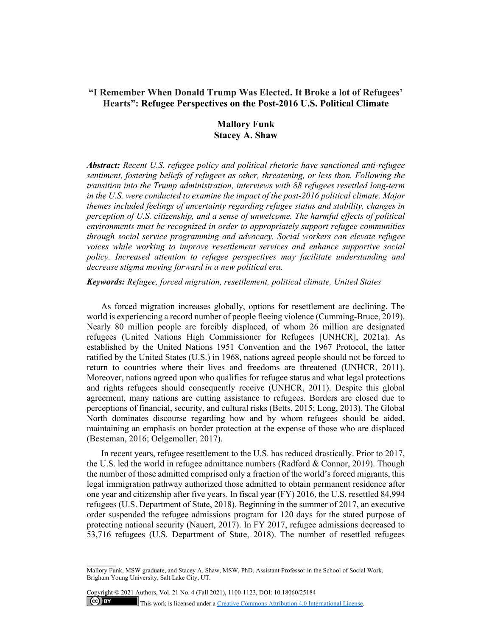# **"I Remember When Donald Trump Was Elected. It Broke a lot of Refugees' Hearts": Refugee Perspectives on the Post-2016 U.S. Political Climate**

# **Mallory Funk Stacey A. Shaw**

*Abstract: Recent U.S. refugee policy and political rhetoric have sanctioned anti-refugee sentiment, fostering beliefs of refugees as other, threatening, or less than. Following the transition into the Trump administration, interviews with 88 refugees resettled long-term in the U.S. were conducted to examine the impact of the post-2016 political climate. Major themes included feelings of uncertainty regarding refugee status and stability, changes in perception of U.S. citizenship, and a sense of unwelcome. The harmful effects of political environments must be recognized in order to appropriately support refugee communities through social service programming and advocacy. Social workers can elevate refugee voices while working to improve resettlement services and enhance supportive social policy. Increased attention to refugee perspectives may facilitate understanding and decrease stigma moving forward in a new political era.* 

*Keywords: Refugee, forced migration, resettlement, political climate, United States* 

As forced migration increases globally, options for resettlement are declining. The world is experiencing a record number of people fleeing violence (Cumming-Bruce, 2019). Nearly 80 million people are forcibly displaced, of whom 26 million are designated refugees (United Nations High Commissioner for Refugees [UNHCR], 2021a). As established by the United Nations 1951 Convention and the 1967 Protocol, the latter ratified by the United States (U.S.) in 1968, nations agreed people should not be forced to return to countries where their lives and freedoms are threatened (UNHCR, 2011). Moreover, nations agreed upon who qualifies for refugee status and what legal protections and rights refugees should consequently receive (UNHCR, 2011). Despite this global agreement, many nations are cutting assistance to refugees. Borders are closed due to perceptions of financial, security, and cultural risks (Betts, 2015; Long, 2013). The Global North dominates discourse regarding how and by whom refugees should be aided, maintaining an emphasis on border protection at the expense of those who are displaced (Besteman, 2016; Oelgemoller, 2017).

In recent years, refugee resettlement to the U.S. has reduced drastically. Prior to 2017, the U.S. led the world in refugee admittance numbers (Radford & Connor, 2019). Though the number of those admitted comprised only a fraction of the world's forced migrants, this legal immigration pathway authorized those admitted to obtain permanent residence after one year and citizenship after five years. In fiscal year (FY) 2016, the U.S. resettled 84,994 refugees (U.S. Department of State, 2018). Beginning in the summer of 2017, an executive order suspended the refugee admissions program for 120 days for the stated purpose of protecting national security (Nauert, 2017). In FY 2017, refugee admissions decreased to 53,716 refugees (U.S. Department of State, 2018). The number of resettled refugees

Copyright © 2021 Authors, Vol. 21 No. 4 (Fall 2021), 1100-1123, DOI: 10.18060/25184  $(c)$  BY This work is licensed under a Creative Commons Attribution 4.0 International License.

Mallory Funk, MSW graduate, and Stacey A. Shaw, MSW, PhD, Assistant Professor in the School of Social Work, Brigham Young University, Salt Lake City, UT.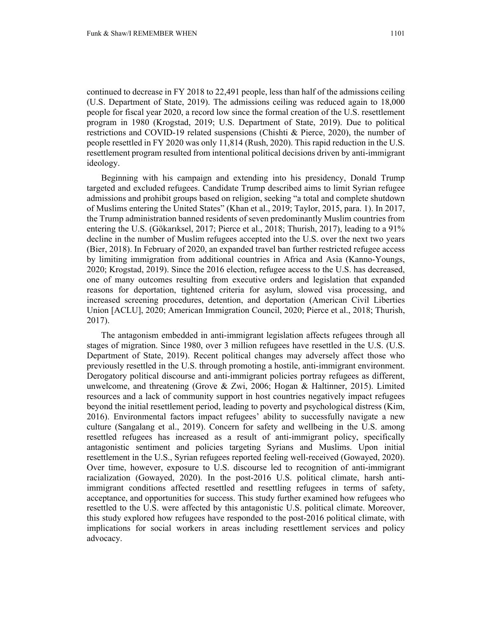continued to decrease in FY 2018 to 22,491 people, less than half of the admissions ceiling (U.S. Department of State, 2019). The admissions ceiling was reduced again to 18,000 people for fiscal year 2020, a record low since the formal creation of the U.S. resettlement program in 1980 (Krogstad, 2019; U.S. Department of State, 2019). Due to political restrictions and COVID-19 related suspensions (Chishti & Pierce, 2020), the number of people resettled in FY 2020 was only 11,814 (Rush, 2020). This rapid reduction in the U.S. resettlement program resulted from intentional political decisions driven by anti-immigrant ideology.

Beginning with his campaign and extending into his presidency, Donald Trump targeted and excluded refugees. Candidate Trump described aims to limit Syrian refugee admissions and prohibit groups based on religion, seeking "a total and complete shutdown of Muslims entering the United States" (Khan et al., 2019; Taylor, 2015, para. 1). In 2017, the Trump administration banned residents of seven predominantly Muslim countries from entering the U.S. (Gökarıksel, 2017; Pierce et al., 2018; Thurish, 2017), leading to a 91% decline in the number of Muslim refugees accepted into the U.S. over the next two years (Bier, 2018). In February of 2020, an expanded travel ban further restricted refugee access by limiting immigration from additional countries in Africa and Asia (Kanno-Youngs, 2020; Krogstad, 2019). Since the 2016 election, refugee access to the U.S. has decreased, one of many outcomes resulting from executive orders and legislation that expanded reasons for deportation, tightened criteria for asylum, slowed visa processing, and increased screening procedures, detention, and deportation (American Civil Liberties Union [ACLU], 2020; American Immigration Council, 2020; Pierce et al., 2018; Thurish, 2017).

The antagonism embedded in anti-immigrant legislation affects refugees through all stages of migration. Since 1980, over 3 million refugees have resettled in the U.S. (U.S. Department of State, 2019). Recent political changes may adversely affect those who previously resettled in the U.S. through promoting a hostile, anti-immigrant environment. Derogatory political discourse and anti-immigrant policies portray refugees as different, unwelcome, and threatening (Grove & Zwi, 2006; Hogan & Haltinner, 2015). Limited resources and a lack of community support in host countries negatively impact refugees beyond the initial resettlement period, leading to poverty and psychological distress (Kim, 2016). Environmental factors impact refugees' ability to successfully navigate a new culture (Sangalang et al., 2019). Concern for safety and wellbeing in the U.S. among resettled refugees has increased as a result of anti-immigrant policy, specifically antagonistic sentiment and policies targeting Syrians and Muslims. Upon initial resettlement in the U.S., Syrian refugees reported feeling well-received (Gowayed, 2020). Over time, however, exposure to U.S. discourse led to recognition of anti-immigrant racialization (Gowayed, 2020). In the post-2016 U.S. political climate, harsh antiimmigrant conditions affected resettled and resettling refugees in terms of safety, acceptance, and opportunities for success. This study further examined how refugees who resettled to the U.S. were affected by this antagonistic U.S. political climate. Moreover, this study explored how refugees have responded to the post-2016 political climate, with implications for social workers in areas including resettlement services and policy advocacy.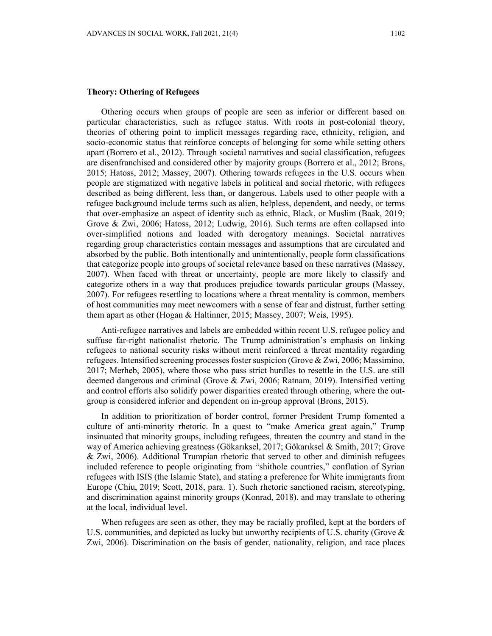## **Theory: Othering of Refugees**

Othering occurs when groups of people are seen as inferior or different based on particular characteristics, such as refugee status. With roots in post-colonial theory, theories of othering point to implicit messages regarding race, ethnicity, religion, and socio-economic status that reinforce concepts of belonging for some while setting others apart (Borrero et al., 2012). Through societal narratives and social classification, refugees are disenfranchised and considered other by majority groups (Borrero et al., 2012; Brons, 2015; Hatoss, 2012; Massey, 2007). Othering towards refugees in the U.S. occurs when people are stigmatized with negative labels in political and social rhetoric, with refugees described as being different, less than, or dangerous. Labels used to other people with a refugee background include terms such as alien, helpless, dependent, and needy, or terms that over-emphasize an aspect of identity such as ethnic, Black, or Muslim (Baak, 2019; Grove & Zwi, 2006; Hatoss, 2012; Ludwig, 2016). Such terms are often collapsed into over-simplified notions and loaded with derogatory meanings. Societal narratives regarding group characteristics contain messages and assumptions that are circulated and absorbed by the public. Both intentionally and unintentionally, people form classifications that categorize people into groups of societal relevance based on these narratives (Massey, 2007). When faced with threat or uncertainty, people are more likely to classify and categorize others in a way that produces prejudice towards particular groups (Massey, 2007). For refugees resettling to locations where a threat mentality is common, members of host communities may meet newcomers with a sense of fear and distrust, further setting them apart as other (Hogan & Haltinner, 2015; Massey, 2007; Weis, 1995).

Anti-refugee narratives and labels are embedded within recent U.S. refugee policy and suffuse far-right nationalist rhetoric. The Trump administration's emphasis on linking refugees to national security risks without merit reinforced a threat mentality regarding refugees. Intensified screening processes foster suspicion (Grove & Zwi, 2006; Massimino, 2017; Merheb, 2005), where those who pass strict hurdles to resettle in the U.S. are still deemed dangerous and criminal (Grove & Zwi, 2006; Ratnam, 2019). Intensified vetting and control efforts also solidify power disparities created through othering, where the outgroup is considered inferior and dependent on in-group approval (Brons, 2015).

In addition to prioritization of border control, former President Trump fomented a culture of anti-minority rhetoric. In a quest to "make America great again," Trump insinuated that minority groups, including refugees, threaten the country and stand in the way of America achieving greatness (Gökarıksel, 2017; Gökarıksel & Smith, 2017; Grove & Zwi, 2006). Additional Trumpian rhetoric that served to other and diminish refugees included reference to people originating from "shithole countries," conflation of Syrian refugees with ISIS (the Islamic State), and stating a preference for White immigrants from Europe (Chiu, 2019; Scott, 2018, para. 1). Such rhetoric sanctioned racism, stereotyping, and discrimination against minority groups (Konrad, 2018), and may translate to othering at the local, individual level.

When refugees are seen as other, they may be racially profiled, kept at the borders of U.S. communities, and depicted as lucky but unworthy recipients of U.S. charity (Grove  $\&$ Zwi, 2006). Discrimination on the basis of gender, nationality, religion, and race places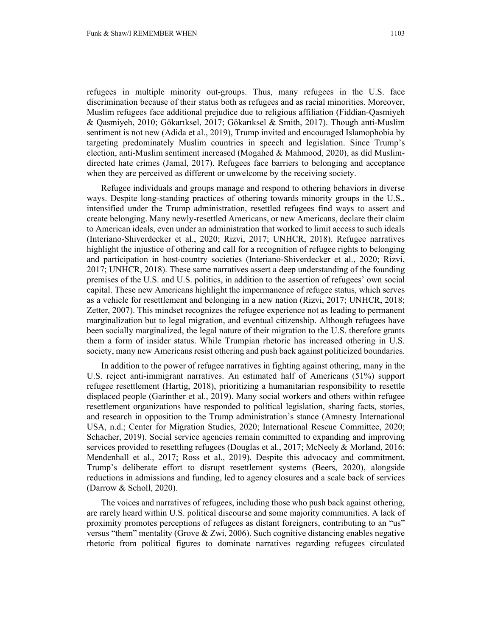refugees in multiple minority out-groups. Thus, many refugees in the U.S. face discrimination because of their status both as refugees and as racial minorities. Moreover, Muslim refugees face additional prejudice due to religious affiliation (Fiddian-Qasmiyeh & Qasmiyeh, 2010; Gökarıksel, 2017; Gökarıksel & Smith, 2017). Though anti-Muslim sentiment is not new (Adida et al., 2019), Trump invited and encouraged Islamophobia by targeting predominately Muslim countries in speech and legislation. Since Trump's election, anti-Muslim sentiment increased (Mogahed & Mahmood, 2020), as did Muslimdirected hate crimes (Jamal, 2017). Refugees face barriers to belonging and acceptance when they are perceived as different or unwelcome by the receiving society.

Refugee individuals and groups manage and respond to othering behaviors in diverse ways. Despite long-standing practices of othering towards minority groups in the U.S., intensified under the Trump administration, resettled refugees find ways to assert and create belonging. Many newly-resettled Americans, or new Americans, declare their claim to American ideals, even under an administration that worked to limit access to such ideals (Interiano-Shiverdecker et al., 2020; Rizvi, 2017; UNHCR, 2018). Refugee narratives highlight the injustice of othering and call for a recognition of refugee rights to belonging and participation in host-country societies (Interiano-Shiverdecker et al., 2020; Rizvi, 2017; UNHCR, 2018). These same narratives assert a deep understanding of the founding premises of the U.S. and U.S. politics, in addition to the assertion of refugees' own social capital. These new Americans highlight the impermanence of refugee status, which serves as a vehicle for resettlement and belonging in a new nation (Rizvi, 2017; UNHCR, 2018; Zetter, 2007). This mindset recognizes the refugee experience not as leading to permanent marginalization but to legal migration, and eventual citizenship. Although refugees have been socially marginalized, the legal nature of their migration to the U.S. therefore grants them a form of insider status. While Trumpian rhetoric has increased othering in U.S. society, many new Americans resist othering and push back against politicized boundaries.

In addition to the power of refugee narratives in fighting against othering, many in the U.S. reject anti-immigrant narratives. An estimated half of Americans (51%) support refugee resettlement (Hartig, 2018), prioritizing a humanitarian responsibility to resettle displaced people (Garinther et al., 2019). Many social workers and others within refugee resettlement organizations have responded to political legislation, sharing facts, stories, and research in opposition to the Trump administration's stance (Amnesty International USA, n.d.; Center for Migration Studies, 2020; International Rescue Committee, 2020; Schacher, 2019). Social service agencies remain committed to expanding and improving services provided to resettling refugees (Douglas et al., 2017; McNeely & Morland, 2016; Mendenhall et al., 2017; Ross et al., 2019). Despite this advocacy and commitment, Trump's deliberate effort to disrupt resettlement systems (Beers, 2020), alongside reductions in admissions and funding, led to agency closures and a scale back of services (Darrow & Scholl, 2020).

The voices and narratives of refugees, including those who push back against othering, are rarely heard within U.S. political discourse and some majority communities. A lack of proximity promotes perceptions of refugees as distant foreigners, contributing to an "us" versus "them" mentality (Grove & Zwi, 2006). Such cognitive distancing enables negative rhetoric from political figures to dominate narratives regarding refugees circulated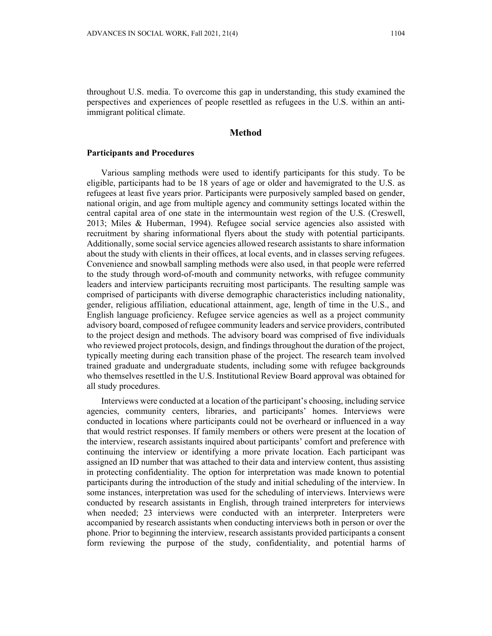throughout U.S. media. To overcome this gap in understanding, this study examined the perspectives and experiences of people resettled as refugees in the U.S. within an antiimmigrant political climate.

# **Method**

## **Participants and Procedures**

Various sampling methods were used to identify participants for this study. To be eligible, participants had to be 18 years of age or older and havemigrated to the U.S. as refugees at least five years prior. Participants were purposively sampled based on gender, national origin, and age from multiple agency and community settings located within the central capital area of one state in the intermountain west region of the U.S. (Creswell, 2013; Miles & Huberman, 1994). Refugee social service agencies also assisted with recruitment by sharing informational flyers about the study with potential participants. Additionally, some social service agencies allowed research assistants to share information about the study with clients in their offices, at local events, and in classes serving refugees. Convenience and snowball sampling methods were also used, in that people were referred to the study through word-of-mouth and community networks, with refugee community leaders and interview participants recruiting most participants. The resulting sample was comprised of participants with diverse demographic characteristics including nationality, gender, religious affiliation, educational attainment, age, length of time in the U.S., and English language proficiency. Refugee service agencies as well as a project community advisory board, composed of refugee community leaders and service providers, contributed to the project design and methods. The advisory board was comprised of five individuals who reviewed project protocols, design, and findings throughout the duration of the project, typically meeting during each transition phase of the project. The research team involved trained graduate and undergraduate students, including some with refugee backgrounds who themselves resettled in the U.S. Institutional Review Board approval was obtained for all study procedures.

Interviews were conducted at a location of the participant's choosing, including service agencies, community centers, libraries, and participants' homes. Interviews were conducted in locations where participants could not be overheard or influenced in a way that would restrict responses. If family members or others were present at the location of the interview, research assistants inquired about participants' comfort and preference with continuing the interview or identifying a more private location. Each participant was assigned an ID number that was attached to their data and interview content, thus assisting in protecting confidentiality. The option for interpretation was made known to potential participants during the introduction of the study and initial scheduling of the interview. In some instances, interpretation was used for the scheduling of interviews. Interviews were conducted by research assistants in English, through trained interpreters for interviews when needed; 23 interviews were conducted with an interpreter. Interpreters were accompanied by research assistants when conducting interviews both in person or over the phone. Prior to beginning the interview, research assistants provided participants a consent form reviewing the purpose of the study, confidentiality, and potential harms of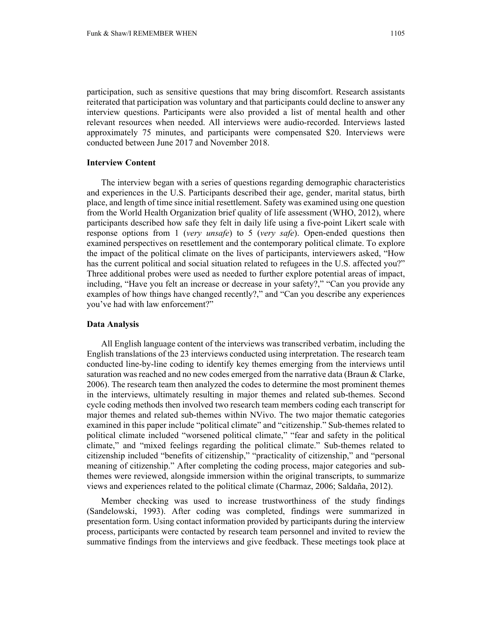participation, such as sensitive questions that may bring discomfort. Research assistants reiterated that participation was voluntary and that participants could decline to answer any interview questions. Participants were also provided a list of mental health and other relevant resources when needed. All interviews were audio-recorded. Interviews lasted approximately 75 minutes, and participants were compensated \$20. Interviews were conducted between June 2017 and November 2018.

# **Interview Content**

The interview began with a series of questions regarding demographic characteristics and experiences in the U.S. Participants described their age, gender, marital status, birth place, and length of time since initial resettlement. Safety was examined using one question from the World Health Organization brief quality of life assessment (WHO, 2012), where participants described how safe they felt in daily life using a five-point Likert scale with response options from 1 (*very unsafe*) to 5 (*very safe*). Open-ended questions then examined perspectives on resettlement and the contemporary political climate. To explore the impact of the political climate on the lives of participants, interviewers asked, "How has the current political and social situation related to refugees in the U.S. affected you?" Three additional probes were used as needed to further explore potential areas of impact, including, "Have you felt an increase or decrease in your safety?," "Can you provide any examples of how things have changed recently?," and "Can you describe any experiences you've had with law enforcement?"

#### **Data Analysis**

All English language content of the interviews was transcribed verbatim, including the English translations of the 23 interviews conducted using interpretation. The research team conducted line-by-line coding to identify key themes emerging from the interviews until saturation was reached and no new codes emerged from the narrative data (Braun & Clarke, 2006). The research team then analyzed the codes to determine the most prominent themes in the interviews, ultimately resulting in major themes and related sub-themes. Second cycle coding methods then involved two research team members coding each transcript for major themes and related sub-themes within NVivo. The two major thematic categories examined in this paper include "political climate" and "citizenship." Sub-themes related to political climate included "worsened political climate," "fear and safety in the political climate," and "mixed feelings regarding the political climate." Sub-themes related to citizenship included "benefits of citizenship," "practicality of citizenship," and "personal meaning of citizenship." After completing the coding process, major categories and subthemes were reviewed, alongside immersion within the original transcripts, to summarize views and experiences related to the political climate (Charmaz, 2006; Saldaña, 2012).

Member checking was used to increase trustworthiness of the study findings (Sandelowski, 1993). After coding was completed, findings were summarized in presentation form. Using contact information provided by participants during the interview process, participants were contacted by research team personnel and invited to review the summative findings from the interviews and give feedback. These meetings took place at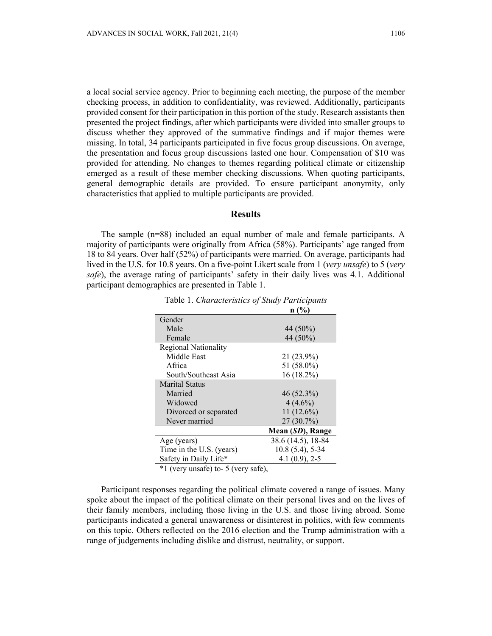a local social service agency. Prior to beginning each meeting, the purpose of the member checking process, in addition to confidentiality, was reviewed. Additionally, participants provided consent for their participation in this portion of the study. Research assistants then presented the project findings, after which participants were divided into smaller groups to discuss whether they approved of the summative findings and if major themes were missing. In total, 34 participants participated in five focus group discussions. On average, the presentation and focus group discussions lasted one hour. Compensation of \$10 was provided for attending. No changes to themes regarding political climate or citizenship emerged as a result of these member checking discussions. When quoting participants, general demographic details are provided. To ensure participant anonymity, only characteristics that applied to multiple participants are provided.

## **Results**

The sample (n=88) included an equal number of male and female participants. A majority of participants were originally from Africa (58%). Participants' age ranged from 18 to 84 years. Over half (52%) of participants were married. On average, participants had lived in the U.S. for 10.8 years. On a five-point Likert scale from 1 (*very unsafe*) to 5 (*very safe*), the average rating of participants' safety in their daily lives was 4.1. Additional participant demographics are presented in Table 1.

|                                     | $n\sqrt{6}$        |
|-------------------------------------|--------------------|
| Gender                              |                    |
| Male                                | 44 (50%)           |
| Female                              | 44 (50%)           |
| <b>Regional Nationality</b>         |                    |
| Middle East                         | 21 (23.9%)         |
| Africa                              | 51 (58.0%)         |
| South/Southeast Asia                | 16 (18.2%)         |
| <b>Marital Status</b>               |                    |
| Married                             | $46(52.3\%)$       |
| Widowed                             | $4(4.6\%)$         |
| Divorced or separated               | $11(12.6\%)$       |
| Never married                       | $27(30.7\%)$       |
|                                     | Mean (SD), Range   |
| Age (years)                         | 38.6 (14.5), 18-84 |
| Time in the U.S. (years)            | $10.8(5.4)$ , 5-34 |
| Safety in Daily Life*               | $4.1(0.9)$ , 2-5   |
| *1 (very unsafe) to- 5 (very safe), |                    |

Table 1. *Characteristics of Study Participants* 

Participant responses regarding the political climate covered a range of issues. Many spoke about the impact of the political climate on their personal lives and on the lives of their family members, including those living in the U.S. and those living abroad. Some participants indicated a general unawareness or disinterest in politics, with few comments on this topic. Others reflected on the 2016 election and the Trump administration with a range of judgements including dislike and distrust, neutrality, or support.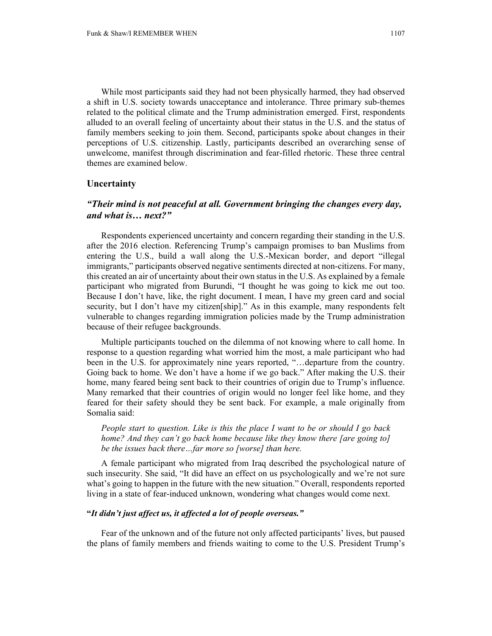While most participants said they had not been physically harmed, they had observed a shift in U.S. society towards unacceptance and intolerance. Three primary sub-themes related to the political climate and the Trump administration emerged. First, respondents alluded to an overall feeling of uncertainty about their status in the U.S. and the status of family members seeking to join them. Second, participants spoke about changes in their perceptions of U.S. citizenship. Lastly, participants described an overarching sense of unwelcome, manifest through discrimination and fear-filled rhetoric. These three central themes are examined below.

# **Uncertainty**

# *"Their mind is not peaceful at all. Government bringing the changes every day, and what is… next?"*

Respondents experienced uncertainty and concern regarding their standing in the U.S. after the 2016 election. Referencing Trump's campaign promises to ban Muslims from entering the U.S., build a wall along the U.S.-Mexican border, and deport "illegal immigrants," participants observed negative sentiments directed at non-citizens. For many, this created an air of uncertainty about their own status in the U.S. As explained by a female participant who migrated from Burundi, "I thought he was going to kick me out too. Because I don't have, like, the right document. I mean, I have my green card and social security, but I don't have my citizen[ship]." As in this example, many respondents felt vulnerable to changes regarding immigration policies made by the Trump administration because of their refugee backgrounds.

Multiple participants touched on the dilemma of not knowing where to call home. In response to a question regarding what worried him the most, a male participant who had been in the U.S. for approximately nine years reported, "…departure from the country. Going back to home. We don't have a home if we go back." After making the U.S. their home, many feared being sent back to their countries of origin due to Trump's influence. Many remarked that their countries of origin would no longer feel like home, and they feared for their safety should they be sent back. For example, a male originally from Somalia said:

*People start to question. Like is this the place I want to be or should I go back home? And they can't go back home because like they know there [are going to] be the issues back there…far more so [worse] than here.* 

A female participant who migrated from Iraq described the psychological nature of such insecurity. She said, "It did have an effect on us psychologically and we're not sure what's going to happen in the future with the new situation." Overall, respondents reported living in a state of fear-induced unknown, wondering what changes would come next.

## **"***It didn't just affect us, it affected a lot of people overseas."*

Fear of the unknown and of the future not only affected participants' lives, but paused the plans of family members and friends waiting to come to the U.S. President Trump's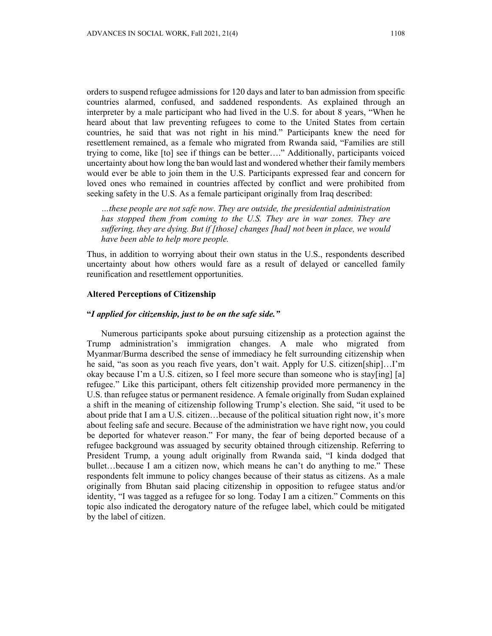orders to suspend refugee admissions for 120 days and later to ban admission from specific countries alarmed, confused, and saddened respondents. As explained through an interpreter by a male participant who had lived in the U.S. for about 8 years, "When he heard about that law preventing refugees to come to the United States from certain countries, he said that was not right in his mind." Participants knew the need for resettlement remained, as a female who migrated from Rwanda said, "Families are still trying to come, like [to] see if things can be better…." Additionally, participants voiced uncertainty about how long the ban would last and wondered whether their family members would ever be able to join them in the U.S. Participants expressed fear and concern for loved ones who remained in countries affected by conflict and were prohibited from seeking safety in the U.S. As a female participant originally from Iraq described:

*…these people are not safe now. They are outside, the presidential administration has stopped them from coming to the U.S. They are in war zones. They are suffering, they are dying. But if [those] changes [had] not been in place, we would have been able to help more people.* 

Thus, in addition to worrying about their own status in the U.S., respondents described uncertainty about how others would fare as a result of delayed or cancelled family reunification and resettlement opportunities.

# **Altered Perceptions of Citizenship**

# **"***I applied for citizenship, just to be on the safe side."*

Numerous participants spoke about pursuing citizenship as a protection against the Trump administration's immigration changes. A male who migrated from Myanmar/Burma described the sense of immediacy he felt surrounding citizenship when he said, "as soon as you reach five years, don't wait. Apply for U.S. citizen[ship]…I'm okay because I'm a U.S. citizen, so I feel more secure than someone who is stay[ing] [a] refugee." Like this participant, others felt citizenship provided more permanency in the U.S. than refugee status or permanent residence. A female originally from Sudan explained a shift in the meaning of citizenship following Trump's election. She said, "it used to be about pride that I am a U.S. citizen…because of the political situation right now, it's more about feeling safe and secure. Because of the administration we have right now, you could be deported for whatever reason." For many, the fear of being deported because of a refugee background was assuaged by security obtained through citizenship. Referring to President Trump, a young adult originally from Rwanda said, "I kinda dodged that bullet…because I am a citizen now, which means he can't do anything to me." These respondents felt immune to policy changes because of their status as citizens. As a male originally from Bhutan said placing citizenship in opposition to refugee status and/or identity, "I was tagged as a refugee for so long. Today I am a citizen." Comments on this topic also indicated the derogatory nature of the refugee label, which could be mitigated by the label of citizen.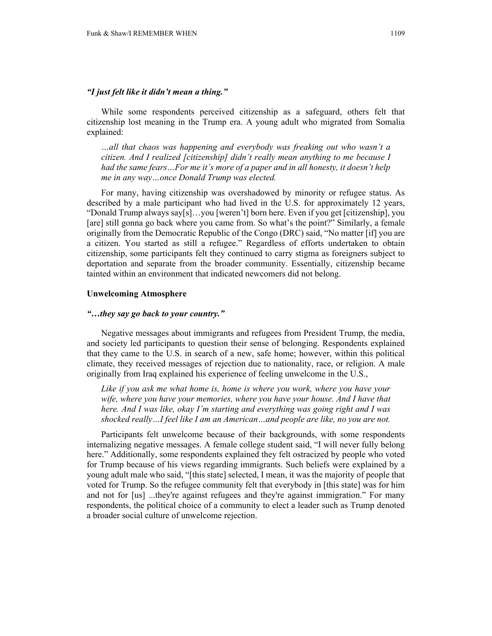## *"I just felt like it didn't mean a thing."*

While some respondents perceived citizenship as a safeguard, others felt that citizenship lost meaning in the Trump era. A young adult who migrated from Somalia explained:

*…all that chaos was happening and everybody was freaking out who wasn't a citizen. And I realized [citizenship] didn't really mean anything to me because I had the same fears…For me it's more of a paper and in all honesty, it doesn't help me in any way…once Donald Trump was elected.* 

For many, having citizenship was overshadowed by minority or refugee status. As described by a male participant who had lived in the U.S. for approximately 12 years, "Donald Trump always say[s]…you [weren't] born here. Even if you get [citizenship], you [are] still gonna go back where you came from. So what's the point?" Similarly, a female originally from the Democratic Republic of the Congo (DRC) said, "No matter [if] you are a citizen. You started as still a refugee." Regardless of efforts undertaken to obtain citizenship, some participants felt they continued to carry stigma as foreigners subject to deportation and separate from the broader community. Essentially, citizenship became tainted within an environment that indicated newcomers did not belong.

## **Unwelcoming Atmosphere**

#### *"…they say go back to your country."*

Negative messages about immigrants and refugees from President Trump, the media, and society led participants to question their sense of belonging. Respondents explained that they came to the U.S. in search of a new, safe home; however, within this political climate, they received messages of rejection due to nationality, race, or religion. A male originally from Iraq explained his experience of feeling unwelcome in the U.S.,

*Like if you ask me what home is, home is where you work, where you have your wife, where you have your memories, where you have your house. And I have that here. And I was like, okay I'm starting and everything was going right and I was shocked really…I feel like I am an American…and people are like, no you are not.* 

Participants felt unwelcome because of their backgrounds, with some respondents internalizing negative messages. A female college student said, "I will never fully belong here." Additionally, some respondents explained they felt ostracized by people who voted for Trump because of his views regarding immigrants. Such beliefs were explained by a young adult male who said, "[this state] selected, I mean, it was the majority of people that voted for Trump. So the refugee community felt that everybody in [this state] was for him and not for [us] ...they're against refugees and they're against immigration." For many respondents, the political choice of a community to elect a leader such as Trump denoted a broader social culture of unwelcome rejection.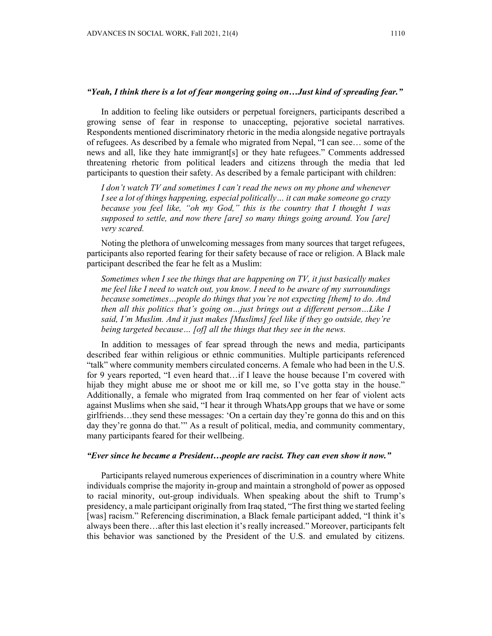### *"Yeah, I think there is a lot of fear mongering going on…Just kind of spreading fear."*

In addition to feeling like outsiders or perpetual foreigners, participants described a growing sense of fear in response to unaccepting, pejorative societal narratives. Respondents mentioned discriminatory rhetoric in the media alongside negative portrayals of refugees. As described by a female who migrated from Nepal, "I can see… some of the news and all, like they hate immigrant[s] or they hate refugees." Comments addressed threatening rhetoric from political leaders and citizens through the media that led participants to question their safety. As described by a female participant with children:

*I don't watch TV and sometimes I can't read the news on my phone and whenever I see a lot of things happening, especial politically… it can make someone go crazy because you feel like, "oh my God," this is the country that I thought I was supposed to settle, and now there [are] so many things going around. You [are] very scared.* 

Noting the plethora of unwelcoming messages from many sources that target refugees, participants also reported fearing for their safety because of race or religion. A Black male participant described the fear he felt as a Muslim:

*Sometimes when I see the things that are happening on TV, it just basically makes me feel like I need to watch out, you know. I need to be aware of my surroundings because sometimes…people do things that you're not expecting [them] to do. And then all this politics that's going on…just brings out a different person…Like I said, I'm Muslim. And it just makes [Muslims] feel like if they go outside, they're being targeted because… [of] all the things that they see in the news.* 

In addition to messages of fear spread through the news and media, participants described fear within religious or ethnic communities. Multiple participants referenced "talk" where community members circulated concerns. A female who had been in the U.S. for 9 years reported, "I even heard that…if I leave the house because I'm covered with hijab they might abuse me or shoot me or kill me, so I've gotta stay in the house." Additionally, a female who migrated from Iraq commented on her fear of violent acts against Muslims when she said, "I hear it through WhatsApp groups that we have or some girlfriends…they send these messages: 'On a certain day they're gonna do this and on this day they're gonna do that.'" As a result of political, media, and community commentary, many participants feared for their wellbeing.

## *"Ever since he became a President…people are racist. They can even show it now."*

Participants relayed numerous experiences of discrimination in a country where White individuals comprise the majority in-group and maintain a stronghold of power as opposed to racial minority, out-group individuals. When speaking about the shift to Trump's presidency, a male participant originally from Iraq stated, "The first thing we started feeling [was] racism." Referencing discrimination, a Black female participant added, "I think it's always been there…after this last election it's really increased." Moreover, participants felt this behavior was sanctioned by the President of the U.S. and emulated by citizens.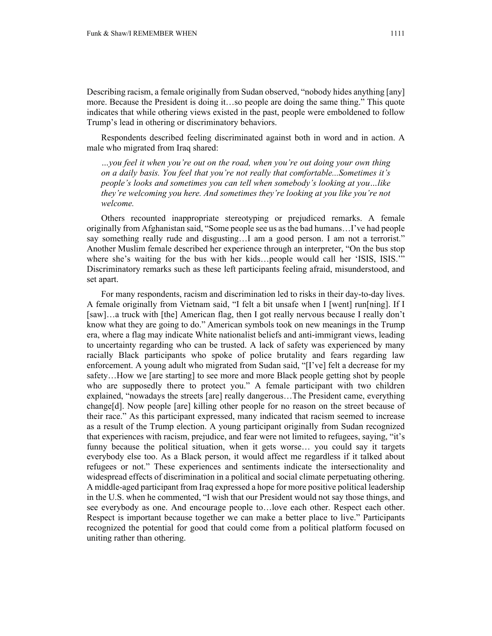Describing racism, a female originally from Sudan observed, "nobody hides anything [any] more. Because the President is doing it…so people are doing the same thing." This quote indicates that while othering views existed in the past, people were emboldened to follow Trump's lead in othering or discriminatory behaviors.

Respondents described feeling discriminated against both in word and in action. A male who migrated from Iraq shared:

*…you feel it when you're out on the road, when you're out doing your own thing on a daily basis. You feel that you're not really that comfortable...Sometimes it's people's looks and sometimes you can tell when somebody's looking at you…like they're welcoming you here. And sometimes they're looking at you like you're not welcome.* 

Others recounted inappropriate stereotyping or prejudiced remarks. A female originally from Afghanistan said, "Some people see us as the bad humans…I've had people say something really rude and disgusting…I am a good person. I am not a terrorist." Another Muslim female described her experience through an interpreter, "On the bus stop where she's waiting for the bus with her kids…people would call her 'ISIS, ISIS.'" Discriminatory remarks such as these left participants feeling afraid, misunderstood, and set apart.

For many respondents, racism and discrimination led to risks in their day-to-day lives. A female originally from Vietnam said, "I felt a bit unsafe when I [went] run[ning]. If I [saw]…a truck with [the] American flag, then I got really nervous because I really don't know what they are going to do." American symbols took on new meanings in the Trump era, where a flag may indicate White nationalist beliefs and anti-immigrant views, leading to uncertainty regarding who can be trusted. A lack of safety was experienced by many racially Black participants who spoke of police brutality and fears regarding law enforcement. A young adult who migrated from Sudan said, "[I've] felt a decrease for my safety…How we [are starting] to see more and more Black people getting shot by people who are supposedly there to protect you." A female participant with two children explained, "nowadays the streets [are] really dangerous…The President came, everything change[d]. Now people [are] killing other people for no reason on the street because of their race." As this participant expressed, many indicated that racism seemed to increase as a result of the Trump election. A young participant originally from Sudan recognized that experiences with racism, prejudice, and fear were not limited to refugees, saying, "it's funny because the political situation, when it gets worse… you could say it targets everybody else too. As a Black person, it would affect me regardless if it talked about refugees or not." These experiences and sentiments indicate the intersectionality and widespread effects of discrimination in a political and social climate perpetuating othering. A middle-aged participant from Iraq expressed a hope for more positive political leadership in the U.S. when he commented, "I wish that our President would not say those things, and see everybody as one. And encourage people to…love each other. Respect each other. Respect is important because together we can make a better place to live." Participants recognized the potential for good that could come from a political platform focused on uniting rather than othering.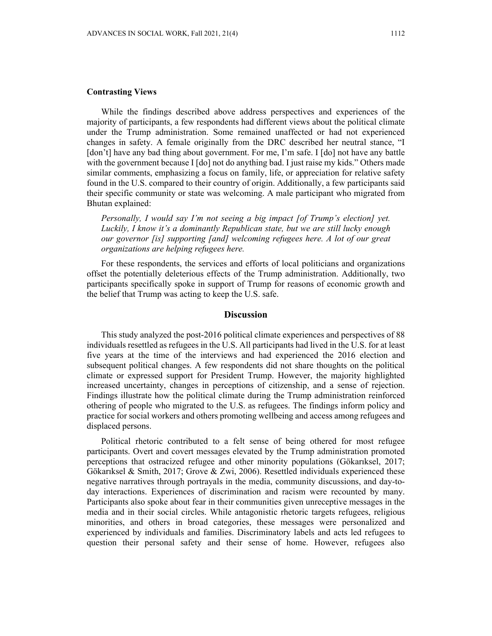# **Contrasting Views**

While the findings described above address perspectives and experiences of the majority of participants, a few respondents had different views about the political climate under the Trump administration. Some remained unaffected or had not experienced changes in safety. A female originally from the DRC described her neutral stance, "I [don't] have any bad thing about government. For me, I'm safe. I [do] not have any battle with the government because I  $\lceil \text{do} \rceil$  not do anything bad. I just raise my kids." Others made similar comments, emphasizing a focus on family, life, or appreciation for relative safety found in the U.S. compared to their country of origin. Additionally, a few participants said their specific community or state was welcoming. A male participant who migrated from Bhutan explained:

*Personally, I would say I'm not seeing a big impact [of Trump's election] yet. Luckily, I know it's a dominantly Republican state, but we are still lucky enough our governor [is] supporting [and] welcoming refugees here. A lot of our great organizations are helping refugees here.* 

For these respondents, the services and efforts of local politicians and organizations offset the potentially deleterious effects of the Trump administration. Additionally, two participants specifically spoke in support of Trump for reasons of economic growth and the belief that Trump was acting to keep the U.S. safe.

# **Discussion**

This study analyzed the post-2016 political climate experiences and perspectives of 88 individuals resettled as refugees in the U.S. All participants had lived in the U.S. for at least five years at the time of the interviews and had experienced the 2016 election and subsequent political changes. A few respondents did not share thoughts on the political climate or expressed support for President Trump. However, the majority highlighted increased uncertainty, changes in perceptions of citizenship, and a sense of rejection. Findings illustrate how the political climate during the Trump administration reinforced othering of people who migrated to the U.S. as refugees. The findings inform policy and practice for social workers and others promoting wellbeing and access among refugees and displaced persons.

Political rhetoric contributed to a felt sense of being othered for most refugee participants. Overt and covert messages elevated by the Trump administration promoted perceptions that ostracized refugee and other minority populations (Gökarıksel, 2017; Gökarıksel & Smith, 2017; Grove & Zwi, 2006). Resettled individuals experienced these negative narratives through portrayals in the media, community discussions, and day-today interactions. Experiences of discrimination and racism were recounted by many. Participants also spoke about fear in their communities given unreceptive messages in the media and in their social circles. While antagonistic rhetoric targets refugees, religious minorities, and others in broad categories, these messages were personalized and experienced by individuals and families. Discriminatory labels and acts led refugees to question their personal safety and their sense of home. However, refugees also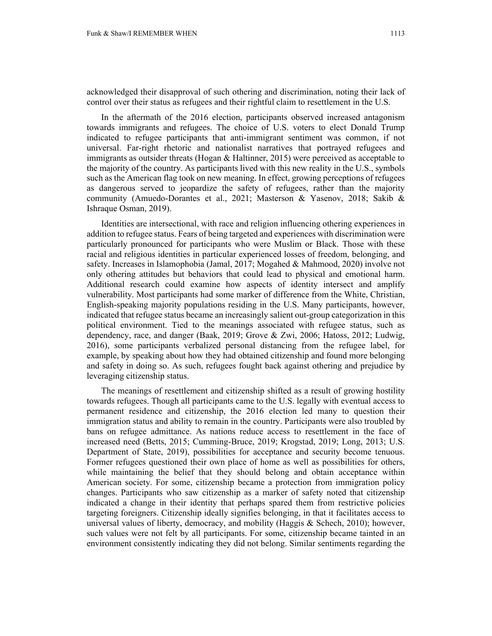acknowledged their disapproval of such othering and discrimination, noting their lack of control over their status as refugees and their rightful claim to resettlement in the U.S.

In the aftermath of the 2016 election, participants observed increased antagonism towards immigrants and refugees. The choice of U.S. voters to elect Donald Trump indicated to refugee participants that anti-immigrant sentiment was common, if not universal. Far-right rhetoric and nationalist narratives that portrayed refugees and immigrants as outsider threats (Hogan & Haltinner, 2015) were perceived as acceptable to the majority of the country. As participants lived with this new reality in the U.S., symbols such as the American flag took on new meaning. In effect, growing perceptions of refugees as dangerous served to jeopardize the safety of refugees, rather than the majority community (Amuedo-Dorantes et al., 2021; Masterson & Yasenov, 2018; Sakib & Ishraque Osman, 2019).

Identities are intersectional, with race and religion influencing othering experiences in addition to refugee status. Fears of being targeted and experiences with discrimination were particularly pronounced for participants who were Muslim or Black. Those with these racial and religious identities in particular experienced losses of freedom, belonging, and safety. Increases in Islamophobia (Jamal, 2017; Mogahed & Mahmood, 2020) involve not only othering attitudes but behaviors that could lead to physical and emotional harm. Additional research could examine how aspects of identity intersect and amplify vulnerability. Most participants had some marker of difference from the White, Christian, English-speaking majority populations residing in the U.S. Many participants, however, indicated that refugee status became an increasingly salient out-group categorization in this political environment. Tied to the meanings associated with refugee status, such as dependency, race, and danger (Baak, 2019; Grove & Zwi, 2006; Hatoss, 2012; Ludwig, 2016), some participants verbalized personal distancing from the refugee label, for example, by speaking about how they had obtained citizenship and found more belonging and safety in doing so. As such, refugees fought back against othering and prejudice by leveraging citizenship status.

The meanings of resettlement and citizenship shifted as a result of growing hostility towards refugees. Though all participants came to the U.S. legally with eventual access to permanent residence and citizenship, the 2016 election led many to question their immigration status and ability to remain in the country. Participants were also troubled by bans on refugee admittance. As nations reduce access to resettlement in the face of increased need (Betts, 2015; Cumming-Bruce, 2019; Krogstad, 2019; Long, 2013; U.S. Department of State, 2019), possibilities for acceptance and security become tenuous. Former refugees questioned their own place of home as well as possibilities for others, while maintaining the belief that they should belong and obtain acceptance within American society. For some, citizenship became a protection from immigration policy changes. Participants who saw citizenship as a marker of safety noted that citizenship indicated a change in their identity that perhaps spared them from restrictive policies targeting foreigners. Citizenship ideally signifies belonging, in that it facilitates access to universal values of liberty, democracy, and mobility (Haggis  $\&$  Schech, 2010); however, such values were not felt by all participants. For some, citizenship became tainted in an environment consistently indicating they did not belong. Similar sentiments regarding the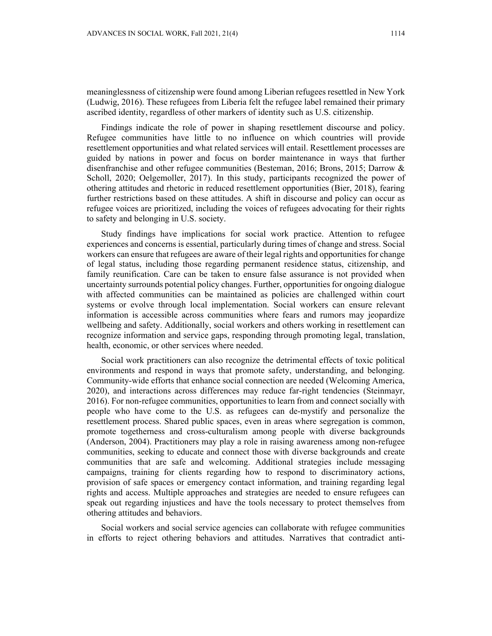meaninglessness of citizenship were found among Liberian refugees resettled in New York (Ludwig, 2016). These refugees from Liberia felt the refugee label remained their primary ascribed identity, regardless of other markers of identity such as U.S. citizenship.

Findings indicate the role of power in shaping resettlement discourse and policy. Refugee communities have little to no influence on which countries will provide resettlement opportunities and what related services will entail. Resettlement processes are guided by nations in power and focus on border maintenance in ways that further disenfranchise and other refugee communities (Besteman, 2016; Brons, 2015; Darrow & Scholl, 2020; Oelgemoller, 2017). In this study, participants recognized the power of othering attitudes and rhetoric in reduced resettlement opportunities (Bier, 2018), fearing further restrictions based on these attitudes. A shift in discourse and policy can occur as refugee voices are prioritized, including the voices of refugees advocating for their rights to safety and belonging in U.S. society.

Study findings have implications for social work practice. Attention to refugee experiences and concerns is essential, particularly during times of change and stress. Social workers can ensure that refugees are aware of their legal rights and opportunities for change of legal status, including those regarding permanent residence status, citizenship, and family reunification. Care can be taken to ensure false assurance is not provided when uncertainty surrounds potential policy changes. Further, opportunities for ongoing dialogue with affected communities can be maintained as policies are challenged within court systems or evolve through local implementation. Social workers can ensure relevant information is accessible across communities where fears and rumors may jeopardize wellbeing and safety. Additionally, social workers and others working in resettlement can recognize information and service gaps, responding through promoting legal, translation, health, economic, or other services where needed.

Social work practitioners can also recognize the detrimental effects of toxic political environments and respond in ways that promote safety, understanding, and belonging. Community-wide efforts that enhance social connection are needed (Welcoming America, 2020), and interactions across differences may reduce far-right tendencies (Steinmayr, 2016). For non-refugee communities, opportunities to learn from and connect socially with people who have come to the U.S. as refugees can de-mystify and personalize the resettlement process. Shared public spaces, even in areas where segregation is common, promote togetherness and cross-culturalism among people with diverse backgrounds (Anderson, 2004). Practitioners may play a role in raising awareness among non-refugee communities, seeking to educate and connect those with diverse backgrounds and create communities that are safe and welcoming. Additional strategies include messaging campaigns, training for clients regarding how to respond to discriminatory actions, provision of safe spaces or emergency contact information, and training regarding legal rights and access. Multiple approaches and strategies are needed to ensure refugees can speak out regarding injustices and have the tools necessary to protect themselves from othering attitudes and behaviors.

Social workers and social service agencies can collaborate with refugee communities in efforts to reject othering behaviors and attitudes. Narratives that contradict anti-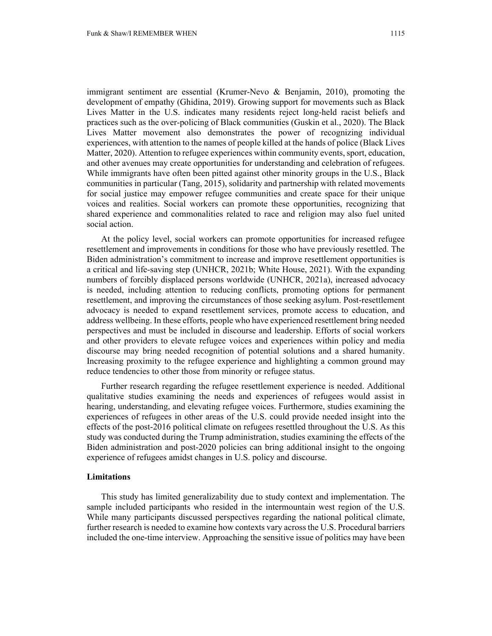immigrant sentiment are essential (Krumer-Nevo & Benjamin, 2010), promoting the development of empathy (Ghidina, 2019). Growing support for movements such as Black Lives Matter in the U.S. indicates many residents reject long-held racist beliefs and practices such as the over-policing of Black communities (Guskin et al., 2020). The Black Lives Matter movement also demonstrates the power of recognizing individual experiences, with attention to the names of people killed at the hands of police (Black Lives Matter, 2020). Attention to refugee experiences within community events, sport, education, and other avenues may create opportunities for understanding and celebration of refugees. While immigrants have often been pitted against other minority groups in the U.S., Black communities in particular (Tang, 2015), solidarity and partnership with related movements for social justice may empower refugee communities and create space for their unique voices and realities. Social workers can promote these opportunities, recognizing that shared experience and commonalities related to race and religion may also fuel united social action.

At the policy level, social workers can promote opportunities for increased refugee resettlement and improvements in conditions for those who have previously resettled. The Biden administration's commitment to increase and improve resettlement opportunities is a critical and life-saving step (UNHCR, 2021b; White House, 2021). With the expanding numbers of forcibly displaced persons worldwide (UNHCR, 2021a), increased advocacy is needed, including attention to reducing conflicts, promoting options for permanent resettlement, and improving the circumstances of those seeking asylum. Post-resettlement advocacy is needed to expand resettlement services, promote access to education, and address wellbeing. In these efforts, people who have experienced resettlement bring needed perspectives and must be included in discourse and leadership. Efforts of social workers and other providers to elevate refugee voices and experiences within policy and media discourse may bring needed recognition of potential solutions and a shared humanity. Increasing proximity to the refugee experience and highlighting a common ground may reduce tendencies to other those from minority or refugee status.

Further research regarding the refugee resettlement experience is needed. Additional qualitative studies examining the needs and experiences of refugees would assist in hearing, understanding, and elevating refugee voices. Furthermore, studies examining the experiences of refugees in other areas of the U.S. could provide needed insight into the effects of the post-2016 political climate on refugees resettled throughout the U.S. As this study was conducted during the Trump administration, studies examining the effects of the Biden administration and post-2020 policies can bring additional insight to the ongoing experience of refugees amidst changes in U.S. policy and discourse.

# **Limitations**

This study has limited generalizability due to study context and implementation. The sample included participants who resided in the intermountain west region of the U.S. While many participants discussed perspectives regarding the national political climate, further research is needed to examine how contexts vary across the U.S. Procedural barriers included the one-time interview. Approaching the sensitive issue of politics may have been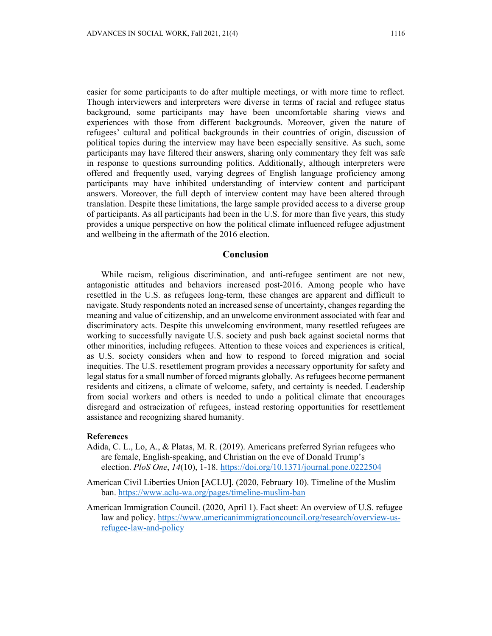easier for some participants to do after multiple meetings, or with more time to reflect. Though interviewers and interpreters were diverse in terms of racial and refugee status background, some participants may have been uncomfortable sharing views and experiences with those from different backgrounds. Moreover, given the nature of refugees' cultural and political backgrounds in their countries of origin, discussion of political topics during the interview may have been especially sensitive. As such, some participants may have filtered their answers, sharing only commentary they felt was safe in response to questions surrounding politics. Additionally, although interpreters were offered and frequently used, varying degrees of English language proficiency among participants may have inhibited understanding of interview content and participant answers. Moreover, the full depth of interview content may have been altered through translation. Despite these limitations, the large sample provided access to a diverse group of participants. As all participants had been in the U.S. for more than five years, this study provides a unique perspective on how the political climate influenced refugee adjustment and wellbeing in the aftermath of the 2016 election.

#### **Conclusion**

While racism, religious discrimination, and anti-refugee sentiment are not new, antagonistic attitudes and behaviors increased post-2016. Among people who have resettled in the U.S. as refugees long-term, these changes are apparent and difficult to navigate. Study respondents noted an increased sense of uncertainty, changes regarding the meaning and value of citizenship, and an unwelcome environment associated with fear and discriminatory acts. Despite this unwelcoming environment, many resettled refugees are working to successfully navigate U.S. society and push back against societal norms that other minorities, including refugees. Attention to these voices and experiences is critical, as U.S. society considers when and how to respond to forced migration and social inequities. The U.S. resettlement program provides a necessary opportunity for safety and legal status for a small number of forced migrants globally. As refugees become permanent residents and citizens, a climate of welcome, safety, and certainty is needed. Leadership from social workers and others is needed to undo a political climate that encourages disregard and ostracization of refugees, instead restoring opportunities for resettlement assistance and recognizing shared humanity.

## **References**

- Adida, C. L., Lo, A., & Platas, M. R. (2019). Americans preferred Syrian refugees who are female, English-speaking, and Christian on the eve of Donald Trump's election. *PloS One*, *14*(10), 1-18. https://doi.org/10.1371/journal.pone.0222504
- American Civil Liberties Union [ACLU]. (2020, February 10). Timeline of the Muslim ban. https://www.aclu-wa.org/pages/timeline-muslim-ban
- American Immigration Council. (2020, April 1). Fact sheet: An overview of U.S. refugee law and policy. https://www.americanimmigrationcouncil.org/research/overview-usrefugee-law-and-policy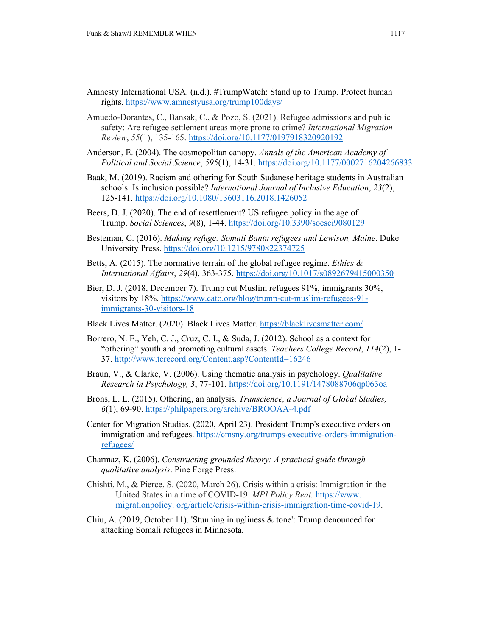- Amnesty International USA. (n.d.). #TrumpWatch: Stand up to Trump. Protect human rights. https://www.amnestyusa.org/trump100days/
- Amuedo-Dorantes, C., Bansak, C., & Pozo, S. (2021). Refugee admissions and public safety: Are refugee settlement areas more prone to crime? *International Migration Review*, *55*(1), 135-165. https://doi.org/10.1177/0197918320920192
- Anderson, E. (2004). The cosmopolitan canopy. *Annals of the American Academy of Political and Social Science*, *595*(1), 14-31. https://doi.org/10.1177/0002716204266833
- Baak, M. (2019). Racism and othering for South Sudanese heritage students in Australian schools: Is inclusion possible? *International Journal of Inclusive Education*, *23*(2), 125-141. https://doi.org/10.1080/13603116.2018.1426052
- Beers, D. J. (2020). The end of resettlement? US refugee policy in the age of Trump. *Social Sciences*, *9*(8), 1-44. https://doi.org/10.3390/socsci9080129
- Besteman, C. (2016). *Making refuge: Somali Bantu refugees and Lewison, Maine*. Duke University Press. https://doi.org/10.1215/9780822374725
- Betts, A. (2015). The normative terrain of the global refugee regime. *Ethics & International Affairs*, *29*(4), 363-375. https://doi.org/10.1017/s0892679415000350
- Bier, D. J. (2018, December 7). Trump cut Muslim refugees 91%, immigrants 30%, visitors by 18%. https://www.cato.org/blog/trump-cut-muslim-refugees-91 immigrants-30-visitors-18
- Black Lives Matter. (2020). Black Lives Matter. https://blacklivesmatter.com/
- Borrero, N. E., Yeh, C. J., Cruz, C. I., & Suda, J. (2012). School as a context for "othering" youth and promoting cultural assets. *Teachers College Record*, *114*(2), 1- 37. http://www.tcrecord.org/Content.asp?ContentId=16246
- Braun, V., & Clarke, V. (2006). Using thematic analysis in psychology. *Qualitative Research in Psychology, 3*, 77-101. https://doi.org/10.1191/1478088706qp063oa
- Brons, L. L. (2015). Othering, an analysis. *Transcience, a Journal of Global Studies, 6*(1), 69-90. https://philpapers.org/archive/BROOAA-4.pdf
- Center for Migration Studies. (2020, April 23). President Trump's executive orders on immigration and refugees. https://cmsny.org/trumps-executive-orders-immigrationrefugees/
- Charmaz, K. (2006). *Constructing grounded theory: A practical guide through qualitative analysis*. Pine Forge Press.
- Chishti, M., & Pierce, S. (2020, March 26). Crisis within a crisis: Immigration in the United States in a time of COVID-19. *MPI Policy Beat.* https://www. migrationpolicy. org/article/crisis-within-crisis-immigration-time-covid-19.
- Chiu, A. (2019, October 11). 'Stunning in ugliness & tone': Trump denounced for attacking Somali refugees in Minnesota.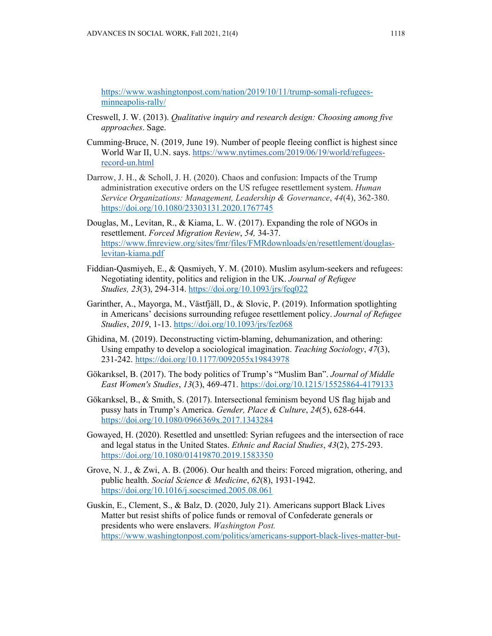https://www.washingtonpost.com/nation/2019/10/11/trump-somali-refugeesminneapolis-rally/

- Creswell, J. W. (2013). *Qualitative inquiry and research design: Choosing among five approaches*. Sage.
- Cumming-Bruce, N. (2019, June 19). Number of people fleeing conflict is highest since World War II, U.N. says. https://www.nytimes.com/2019/06/19/world/refugeesrecord-un.html
- Darrow, J. H., & Scholl, J. H. (2020). Chaos and confusion: Impacts of the Trump administration executive orders on the US refugee resettlement system. *Human Service Organizations: Management, Leadership & Governance*, *44*(4), 362-380. https://doi.org/10.1080/23303131.2020.1767745
- Douglas, M., Levitan, R., & Kiama, L. W. (2017). Expanding the role of NGOs in resettlement. *Forced Migration Review*, *54,* 34-37. https://www.fmreview.org/sites/fmr/files/FMRdownloads/en/resettlement/douglaslevitan-kiama.pdf
- Fiddian-Qasmiyeh, E., & Qasmiyeh, Y. M. (2010). Muslim asylum-seekers and refugees: Negotiating identity, politics and religion in the UK. *Journal of Refugee Studies, 23*(3), 294-314. https://doi.org/10.1093/jrs/feq022
- Garinther, A., Mayorga, M., Västfjäll, D., & Slovic, P. (2019). Information spotlighting in Americans' decisions surrounding refugee resettlement policy. *Journal of Refugee Studies*, *2019*, 1-13. https://doi.org/10.1093/jrs/fez068
- Ghidina, M. (2019). Deconstructing victim-blaming, dehumanization, and othering: Using empathy to develop a sociological imagination. *Teaching Sociology*, *47*(3), 231-242. https://doi.org/10.1177/0092055x19843978
- Gökarıksel, B. (2017). The body politics of Trump's "Muslim Ban". *Journal of Middle East Women's Studies*, *13*(3), 469-471. https://doi.org/10.1215/15525864-4179133
- Gökarıksel, B., & Smith, S. (2017). Intersectional feminism beyond US flag hijab and pussy hats in Trump's America. *Gender, Place & Culture*, *24*(5), 628-644. https://doi.org/10.1080/0966369x.2017.1343284
- Gowayed, H. (2020). Resettled and unsettled: Syrian refugees and the intersection of race and legal status in the United States. *Ethnic and Racial Studies*, *43*(2), 275-293. https://doi.org/10.1080/01419870.2019.1583350
- Grove, N. J., & Zwi, A. B. (2006). Our health and theirs: Forced migration, othering, and public health. *Social Science & Medicine*, *62*(8), 1931-1942. https://doi.org/10.1016/j.socscimed.2005.08.061
- Guskin, E., Clement, S., & Balz, D. (2020, July 21). Americans support Black Lives Matter but resist shifts of police funds or removal of Confederate generals or presidents who were enslavers. *Washington Post.*  https://www.washingtonpost.com/politics/americans-support-black-lives-matter-but-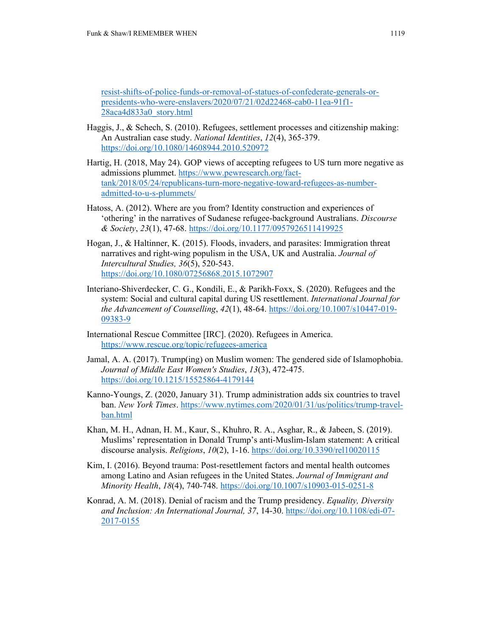resist-shifts-of-police-funds-or-removal-of-statues-of-confederate-generals-orpresidents-who-were-enslavers/2020/07/21/02d22468-cab0-11ea-91f1- 28aca4d833a0\_story.html

- Haggis, J., & Schech, S. (2010). Refugees, settlement processes and citizenship making: An Australian case study. *National Identities*, *12*(4), 365-379. https://doi.org/10.1080/14608944.2010.520972
- Hartig, H. (2018, May 24). GOP views of accepting refugees to US turn more negative as admissions plummet. https://www.pewresearch.org/facttank/2018/05/24/republicans-turn-more-negative-toward-refugees-as-numberadmitted-to-u-s-plummets/
- Hatoss, A. (2012). Where are you from? Identity construction and experiences of 'othering' in the narratives of Sudanese refugee-background Australians. *Discourse & Society*, *23*(1), 47-68. https://doi.org/10.1177/0957926511419925
- Hogan, J., & Haltinner, K. (2015). Floods, invaders, and parasites: Immigration threat narratives and right-wing populism in the USA, UK and Australia. *Journal of Intercultural Studies, 36*(5), 520-543. https://doi.org/10.1080/07256868.2015.1072907
- Interiano-Shiverdecker, C. G., Kondili, E., & Parikh-Foxx, S. (2020). Refugees and the system: Social and cultural capital during US resettlement. *International Journal for the Advancement of Counselling*, *42*(1), 48-64. https://doi.org/10.1007/s10447-019- 09383-9
- International Rescue Committee [IRC]. (2020). Refugees in America. https://www.rescue.org/topic/refugees-america
- Jamal, A. A. (2017). Trump(ing) on Muslim women: The gendered side of Islamophobia. *Journal of Middle East Women's Studies*, *13*(3), 472-475. https://doi.org/10.1215/15525864-4179144
- Kanno-Youngs, Z. (2020, January 31). Trump administration adds six countries to travel ban. *New York Times*. https://www.nytimes.com/2020/01/31/us/politics/trump-travelban.html
- Khan, M. H., Adnan, H. M., Kaur, S., Khuhro, R. A., Asghar, R., & Jabeen, S. (2019). Muslims' representation in Donald Trump's anti-Muslim-Islam statement: A critical discourse analysis. *Religions*, *10*(2), 1-16. https://doi.org/10.3390/rel10020115
- Kim, I. (2016). Beyond trauma: Post-resettlement factors and mental health outcomes among Latino and Asian refugees in the United States. *Journal of Immigrant and Minority Health*, *18*(4), 740-748. https://doi.org/10.1007/s10903-015-0251-8
- Konrad, A. M. (2018). Denial of racism and the Trump presidency. *Equality, Diversity and Inclusion: An International Journal, 37*, 14-30. https://doi.org/10.1108/edi-07- 2017-0155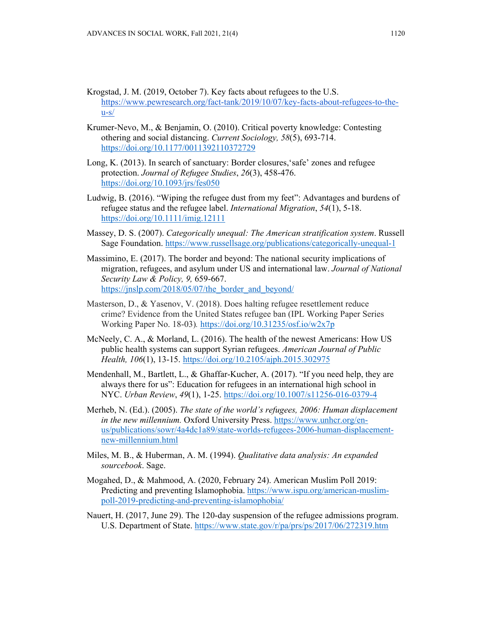- Krogstad, J. M. (2019, October 7). Key facts about refugees to the U.S. https://www.pewresearch.org/fact-tank/2019/10/07/key-facts-about-refugees-to-the $u-s/$
- Krumer-Nevo, M., & Benjamin, O. (2010). Critical poverty knowledge: Contesting othering and social distancing. *Current Sociology, 58*(5), 693-714. https://doi.org/10.1177/0011392110372729
- Long, K. (2013). In search of sanctuary: Border closures,'safe' zones and refugee protection. *Journal of Refugee Studies*, *26*(3), 458-476. https://doi.org/10.1093/jrs/fes050
- Ludwig, B. (2016). "Wiping the refugee dust from my feet": Advantages and burdens of refugee status and the refugee label. *International Migration*, *54*(1), 5-18. https://doi.org/10.1111/imig.12111
- Massey, D. S. (2007). *Categorically unequal: The American stratification system*. Russell Sage Foundation. https://www.russellsage.org/publications/categorically-unequal-1
- Massimino, E. (2017). The border and beyond: The national security implications of migration, refugees, and asylum under US and international law. *Journal of National Security Law & Policy, 9,* 659-667. https://jnslp.com/2018/05/07/the\_border\_and\_beyond/
- Masterson, D., & Yasenov, V. (2018). Does halting refugee resettlement reduce crime? Evidence from the United States refugee ban (IPL Working Paper Series Working Paper No. 18-03)*.* https://doi.org/10.31235/osf.io/w2x7p
- McNeely, C. A., & Morland, L. (2016). The health of the newest Americans: How US public health systems can support Syrian refugees. *American Journal of Public Health, 106*(1), 13-15. https://doi.org/10.2105/ajph.2015.302975
- Mendenhall, M., Bartlett, L., & Ghaffar-Kucher, A. (2017). "If you need help, they are always there for us": Education for refugees in an international high school in NYC. *Urban Review*, *49*(1), 1-25. https://doi.org/10.1007/s11256-016-0379-4
- Merheb, N. (Ed.). (2005). *The state of the world's refugees, 2006: Human displacement in the new millennium.* Oxford University Press. https://www.unhcr.org/enus/publications/sowr/4a4dc1a89/state-worlds-refugees-2006-human-displacementnew-millennium.html
- Miles, M. B., & Huberman, A. M. (1994). *Qualitative data analysis: An expanded sourcebook*. Sage.
- Mogahed, D., & Mahmood, A. (2020, February 24). American Muslim Poll 2019: Predicting and preventing Islamophobia. https://www.ispu.org/american-muslimpoll-2019-predicting-and-preventing-islamophobia/
- Nauert, H. (2017, June 29). The 120-day suspension of the refugee admissions program. U.S. Department of State. https://www.state.gov/r/pa/prs/ps/2017/06/272319.htm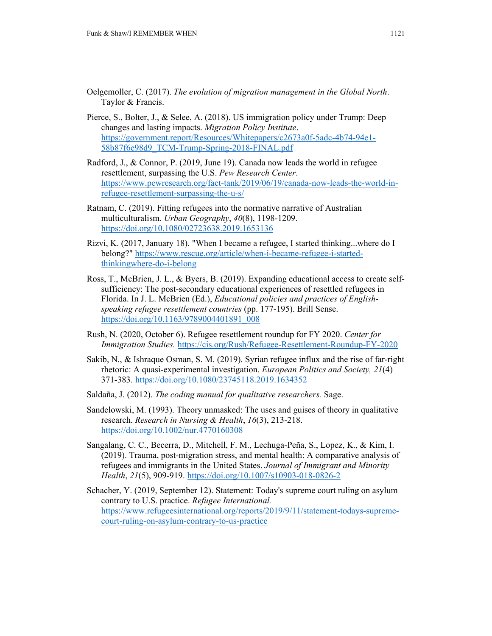- Oelgemoller, C. (2017). *The evolution of migration management in the Global North*. Taylor & Francis.
- Pierce, S., Bolter, J., & Selee, A. (2018). US immigration policy under Trump: Deep changes and lasting impacts. *Migration Policy Institute*. https://government.report/Resources/Whitepapers/c2673a0f-5adc-4b74-94e1- 58b87f6e98d9\_TCM-Trump-Spring-2018-FINAL.pdf
- Radford, J., & Connor, P. (2019, June 19). Canada now leads the world in refugee resettlement, surpassing the U.S. *Pew Research Center*. https://www.pewresearch.org/fact-tank/2019/06/19/canada-now-leads-the-world-inrefugee-resettlement-surpassing-the-u-s/
- Ratnam, C. (2019). Fitting refugees into the normative narrative of Australian multiculturalism. *Urban Geography*, *40*(8), 1198-1209. https://doi.org/10.1080/02723638.2019.1653136
- Rizvi, K. (2017, January 18). "When I became a refugee, I started thinking...where do I belong?" https://www.rescue.org/article/when-i-became-refugee-i-startedthinkingwhere-do-i-belong
- Ross, T., McBrien, J. L., & Byers, B. (2019). Expanding educational access to create selfsufficiency: The post-secondary educational experiences of resettled refugees in Florida. In J. L. McBrien (Ed.), *Educational policies and practices of Englishspeaking refugee resettlement countries* (pp. 177-195). Brill Sense. https://doi.org/10.1163/9789004401891\_008
- Rush, N. (2020, October 6). Refugee resettlement roundup for FY 2020. *Center for Immigration Studies.* https://cis.org/Rush/Refugee-Resettlement-Roundup-FY-2020
- Sakib, N., & Ishraque Osman, S. M. (2019). Syrian refugee influx and the rise of far-right rhetoric: A quasi-experimental investigation. *European Politics and Society, 21*(4) 371-383. https://doi.org/10.1080/23745118.2019.1634352
- Saldaña, J. (2012). *The coding manual for qualitative researchers.* Sage.
- Sandelowski, M. (1993). Theory unmasked: The uses and guises of theory in qualitative research. *Research in Nursing & Health*, *16*(3), 213-218. https://doi.org/10.1002/nur.4770160308
- Sangalang, C. C., Becerra, D., Mitchell, F. M., Lechuga-Peña, S., Lopez, K., & Kim, I. (2019). Trauma, post-migration stress, and mental health: A comparative analysis of refugees and immigrants in the United States. *Journal of Immigrant and Minority Health*, *21*(5), 909-919. https://doi.org/10.1007/s10903-018-0826-2
- Schacher, Y. (2019, September 12). Statement: Today's supreme court ruling on asylum contrary to U.S. practice. *Refugee International.*  https://www.refugeesinternational.org/reports/2019/9/11/statement-todays-supremecourt-ruling-on-asylum-contrary-to-us-practice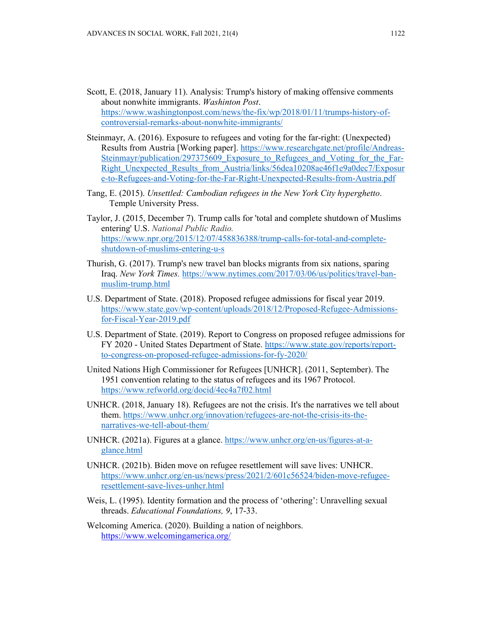- Scott, E. (2018, January 11). Analysis: Trump's history of making offensive comments about nonwhite immigrants. *Washinton Post*. https://www.washingtonpost.com/news/the-fix/wp/2018/01/11/trumps-history-ofcontroversial-remarks-about-nonwhite-immigrants/
- Steinmayr, A. (2016). Exposure to refugees and voting for the far-right: (Unexpected) Results from Austria [Working paper]. https://www.researchgate.net/profile/Andreas-Steinmayr/publication/297375609 Exposure to Refugees and Voting for the Far-Right\_Unexpected\_Results\_from\_Austria/links/56dea10208ae46f1e9a0dec7/Exposur e-to-Refugees-and-Voting-for-the-Far-Right-Unexpected-Results-from-Austria.pdf
- Tang, E. (2015). *Unsettled: Cambodian refugees in the New York City hyperghetto*. Temple University Press.
- Taylor, J. (2015, December 7). Trump calls for 'total and complete shutdown of Muslims entering' U.S. *National Public Radio.*  https://www.npr.org/2015/12/07/458836388/trump-calls-for-total-and-completeshutdown-of-muslims-entering-u-s
- Thurish, G. (2017). Trump's new travel ban blocks migrants from six nations, sparing Iraq. *New York Times.* https://www.nytimes.com/2017/03/06/us/politics/travel-banmuslim-trump.html
- U.S. Department of State. (2018). Proposed refugee admissions for fiscal year 2019. https://www.state.gov/wp-content/uploads/2018/12/Proposed-Refugee-Admissionsfor-Fiscal-Year-2019.pdf
- U.S. Department of State. (2019). Report to Congress on proposed refugee admissions for FY 2020 - United States Department of State. https://www.state.gov/reports/reportto-congress-on-proposed-refugee-admissions-for-fy-2020/
- United Nations High Commissioner for Refugees [UNHCR]. (2011, September). The 1951 convention relating to the status of refugees and its 1967 Protocol. https://www.refworld.org/docid/4ec4a7f02.html
- UNHCR. (2018, January 18). Refugees are not the crisis. It's the narratives we tell about them. https://www.unhcr.org/innovation/refugees-are-not-the-crisis-its-thenarratives-we-tell-about-them/
- UNHCR. (2021a). Figures at a glance. https://www.unhcr.org/en-us/figures-at-aglance.html
- UNHCR. (2021b). Biden move on refugee resettlement will save lives: UNHCR. https://www.unhcr.org/en-us/news/press/2021/2/601c56524/biden-move-refugeeresettlement-save-lives-unhcr.html
- Weis, L. (1995). Identity formation and the process of 'othering': Unravelling sexual threads. *Educational Foundations, 9*, 17-33.
- Welcoming America. (2020). Building a nation of neighbors. https://www.welcomingamerica.org/